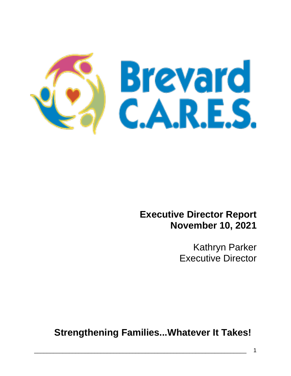

## **Executive Director Report November 10, 2021**

Kathryn Parker Executive Director

**Strengthening Families...Whatever It Takes!**